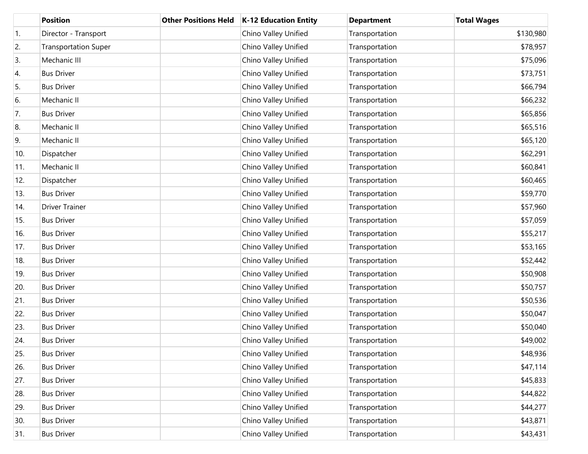|     | <b>Position</b>             | <b>Other Positions Held</b> | <b>K-12 Education Entity</b> | <b>Department</b> | <b>Total Wages</b> |
|-----|-----------------------------|-----------------------------|------------------------------|-------------------|--------------------|
| 1.  | Director - Transport        |                             | Chino Valley Unified         | Transportation    | \$130,980          |
| 2.  | <b>Transportation Super</b> |                             | Chino Valley Unified         | Transportation    | \$78,957           |
| 3.  | Mechanic III                |                             | Chino Valley Unified         | Transportation    | \$75,096           |
| 4.  | <b>Bus Driver</b>           |                             | Chino Valley Unified         | Transportation    | \$73,751           |
| 5.  | <b>Bus Driver</b>           |                             | Chino Valley Unified         | Transportation    | \$66,794           |
| 6.  | Mechanic II                 |                             | Chino Valley Unified         | Transportation    | \$66,232           |
| 7.  | <b>Bus Driver</b>           |                             | Chino Valley Unified         | Transportation    | \$65,856           |
| 8.  | Mechanic II                 |                             | Chino Valley Unified         | Transportation    | \$65,516           |
| 9.  | Mechanic II                 |                             | Chino Valley Unified         | Transportation    | \$65,120           |
| 10. | Dispatcher                  |                             | Chino Valley Unified         | Transportation    | \$62,291           |
| 11. | Mechanic II                 |                             | Chino Valley Unified         | Transportation    | \$60,841           |
| 12. | Dispatcher                  |                             | Chino Valley Unified         | Transportation    | \$60,465           |
| 13. | <b>Bus Driver</b>           |                             | Chino Valley Unified         | Transportation    | \$59,770           |
| 14. | <b>Driver Trainer</b>       |                             | Chino Valley Unified         | Transportation    | \$57,960           |
| 15. | <b>Bus Driver</b>           |                             | Chino Valley Unified         | Transportation    | \$57,059           |
| 16. | <b>Bus Driver</b>           |                             | Chino Valley Unified         | Transportation    | \$55,217           |
| 17. | <b>Bus Driver</b>           |                             | Chino Valley Unified         | Transportation    | \$53,165           |
| 18. | <b>Bus Driver</b>           |                             | Chino Valley Unified         | Transportation    | \$52,442           |
| 19. | <b>Bus Driver</b>           |                             | Chino Valley Unified         | Transportation    | \$50,908           |
| 20. | <b>Bus Driver</b>           |                             | Chino Valley Unified         | Transportation    | \$50,757           |
| 21. | <b>Bus Driver</b>           |                             | Chino Valley Unified         | Transportation    | \$50,536           |
| 22. | <b>Bus Driver</b>           |                             | Chino Valley Unified         | Transportation    | \$50,047           |
| 23. | <b>Bus Driver</b>           |                             | Chino Valley Unified         | Transportation    | \$50,040           |
| 24. | <b>Bus Driver</b>           |                             | Chino Valley Unified         | Transportation    | \$49,002           |
| 25. | <b>Bus Driver</b>           |                             | Chino Valley Unified         | Transportation    | \$48,936           |
| 26. | <b>Bus Driver</b>           |                             | Chino Valley Unified         | Transportation    | \$47,114           |
| 27. | <b>Bus Driver</b>           |                             | Chino Valley Unified         | Transportation    | \$45,833           |
| 28. | <b>Bus Driver</b>           |                             | Chino Valley Unified         | Transportation    | \$44,822           |
| 29. | <b>Bus Driver</b>           |                             | Chino Valley Unified         | Transportation    | \$44,277           |
| 30. | <b>Bus Driver</b>           |                             | Chino Valley Unified         | Transportation    | \$43,871           |
| 31. | <b>Bus Driver</b>           |                             | Chino Valley Unified         | Transportation    | \$43,431           |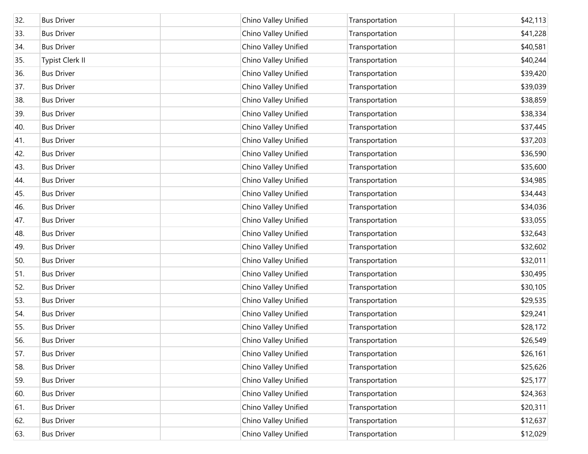| 32. | <b>Bus Driver</b>      | Chino Valley Unified | Transportation | \$42,113 |
|-----|------------------------|----------------------|----------------|----------|
| 33. | <b>Bus Driver</b>      | Chino Valley Unified | Transportation | \$41,228 |
| 34. | <b>Bus Driver</b>      | Chino Valley Unified | Transportation | \$40,581 |
| 35. | <b>Typist Clerk II</b> | Chino Valley Unified | Transportation | \$40,244 |
| 36. | <b>Bus Driver</b>      | Chino Valley Unified | Transportation | \$39,420 |
| 37. | <b>Bus Driver</b>      | Chino Valley Unified | Transportation | \$39,039 |
| 38. | <b>Bus Driver</b>      | Chino Valley Unified | Transportation | \$38,859 |
| 39. | <b>Bus Driver</b>      | Chino Valley Unified | Transportation | \$38,334 |
| 40. | <b>Bus Driver</b>      | Chino Valley Unified | Transportation | \$37,445 |
| 41. | <b>Bus Driver</b>      | Chino Valley Unified | Transportation | \$37,203 |
| 42. | <b>Bus Driver</b>      | Chino Valley Unified | Transportation | \$36,590 |
| 43. | <b>Bus Driver</b>      | Chino Valley Unified | Transportation | \$35,600 |
| 44. | <b>Bus Driver</b>      | Chino Valley Unified | Transportation | \$34,985 |
| 45. | <b>Bus Driver</b>      | Chino Valley Unified | Transportation | \$34,443 |
| 46. | <b>Bus Driver</b>      | Chino Valley Unified | Transportation | \$34,036 |
| 47. | <b>Bus Driver</b>      | Chino Valley Unified | Transportation | \$33,055 |
| 48. | <b>Bus Driver</b>      | Chino Valley Unified | Transportation | \$32,643 |
| 49. | <b>Bus Driver</b>      | Chino Valley Unified | Transportation | \$32,602 |
| 50. | <b>Bus Driver</b>      | Chino Valley Unified | Transportation | \$32,011 |
| 51. | <b>Bus Driver</b>      | Chino Valley Unified | Transportation | \$30,495 |
| 52. | <b>Bus Driver</b>      | Chino Valley Unified | Transportation | \$30,105 |
| 53. | <b>Bus Driver</b>      | Chino Valley Unified | Transportation | \$29,535 |
| 54. | <b>Bus Driver</b>      | Chino Valley Unified | Transportation | \$29,241 |
| 55. | <b>Bus Driver</b>      | Chino Valley Unified | Transportation | \$28,172 |
| 56. | <b>Bus Driver</b>      | Chino Valley Unified | Transportation | \$26,549 |
| 57. | <b>Bus Driver</b>      | Chino Valley Unified | Transportation | \$26,161 |
| 58. | <b>Bus Driver</b>      | Chino Valley Unified | Transportation | \$25,626 |
| 59. | <b>Bus Driver</b>      | Chino Valley Unified | Transportation | \$25,177 |
| 60. | <b>Bus Driver</b>      | Chino Valley Unified | Transportation | \$24,363 |
| 61. | <b>Bus Driver</b>      | Chino Valley Unified | Transportation | \$20,311 |
| 62. | <b>Bus Driver</b>      | Chino Valley Unified | Transportation | \$12,637 |
| 63. | <b>Bus Driver</b>      | Chino Valley Unified | Transportation | \$12,029 |